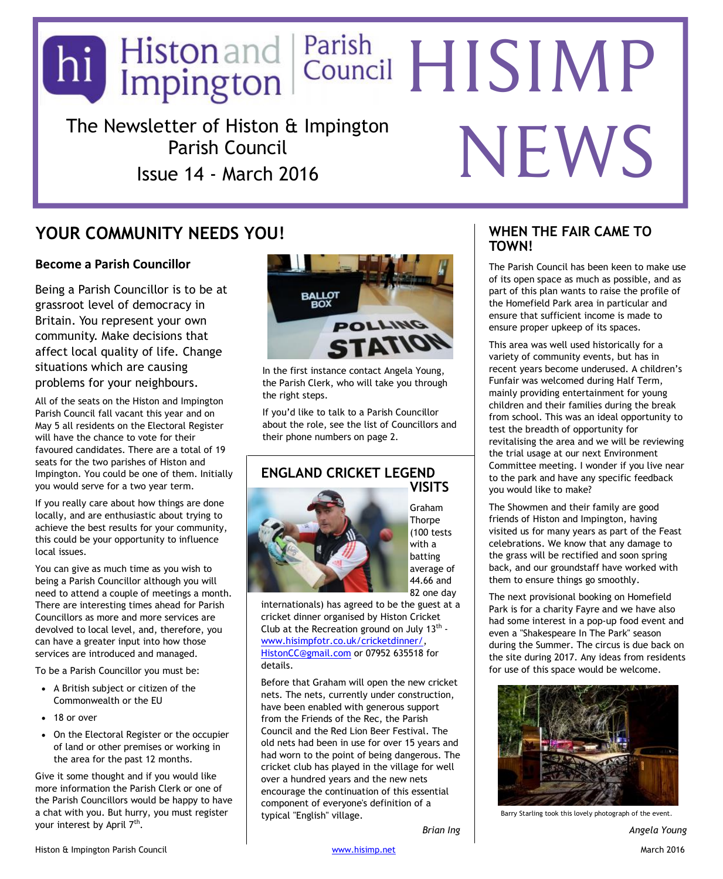# The Newsletter of Histon & Impington Parish Council Issue 14 - March 2016 hi Histonand Parish<br>Impington Council HISIMP NEWS

# **YOUR COMMUNITY NEEDS YOU!**

## **Become a Parish Councillor**

Being a Parish Councillor is to be at grassroot level of democracy in Britain. You represent your own community. Make decisions that affect local quality of life. Change situations which are causing problems for your neighbours.

All of the seats on the Histon and Impington Parish Council fall vacant this year and on May 5 all residents on the Electoral Register will have the chance to vote for their favoured candidates. There are a total of 19 seats for the two parishes of Histon and Impington. You could be one of them. Initially you would serve for a two year term.

If you really care about how things are done locally, and are enthusiastic about trying to achieve the best results for your community, this could be your opportunity to influence local issues.

You can give as much time as you wish to being a Parish Councillor although you will need to attend a couple of meetings a month. There are interesting times ahead for Parish Councillors as more and more services are devolved to local level, and, therefore, you can have a greater input into how those services are introduced and managed.

To be a Parish Councillor you must be:

- ∂ A British subject or citizen of the Commonwealth or the EU
- ∂ 18 or over
- On the Electoral Register or the occupier of land or other premises or working in the area for the past 12 months.

Give it some thought and if you would like more information the Parish Clerk or one of the Parish Councillors would be happy to have a chat with you. But hurry, you must register your interest by April 7<sup>th</sup>.



In the first instance contact Angela Young, the Parish Clerk, who will take you through the right steps.

If you'd like to talk to a Parish Councillor about the role, see the list of Councillors and their phone numbers on page 2.

### **ENGLAND CRICKET LEGEND VISITS**



Graham **Thorpe** (100 tests with a batting average of 44.66 and 82 one day

*Brian Ing*

internationals) has agreed to be the guest at a cricket dinner organised by Histon Cricket Club at the Recreation ground on July 13<sup>th</sup> [www.hisimpfotr.co.uk/cricketdinner/,](http://www.hisimpfotr.co.uk/cricketdinner/) [HistonCC@gmail.com](mailto:HistonCC@gmail.com) or 07952 635518 for details.

Before that Graham will open the new cricket nets. The nets, currently under construction, have been enabled with generous support from the Friends of the Rec, the Parish Council and the Red Lion Beer Festival. The old nets had been in use for over 15 years and had worn to the point of being dangerous. The cricket club has played in the village for well over a hundred years and the new nets encourage the continuation of this essential component of everyone's definition of a typical "English" village.

#### **WHEN THE FAIR CAME TO TOWN!**

The Parish Council has been keen to make use of its open space as much as possible, and as part of this plan wants to raise the profile of the Homefield Park area in particular and ensure that sufficient income is made to ensure proper upkeep of its spaces.

This area was well used historically for a variety of community events, but has in recent years become underused. A children's Funfair was welcomed during Half Term, mainly providing entertainment for young children and their families during the break from school. This was an ideal opportunity to test the breadth of opportunity for revitalising the area and we will be reviewing the trial usage at our next Environment Committee meeting. I wonder if you live near to the park and have any specific feedback you would like to make?

The Showmen and their family are good friends of Histon and Impington, having visited us for many years as part of the Feast celebrations. We know that any damage to the grass will be rectified and soon spring back, and our groundstaff have worked with them to ensure things go smoothly.

The next provisional booking on Homefield Park is for a charity Fayre and we have also had some interest in a pop-up food event and even a "Shakespeare In The Park" season during the Summer. The circus is due back on the site during 2017. Any ideas from residents for use of this space would be welcome.



Barry Starling took this lovely photograph of the event.

*Angela Young*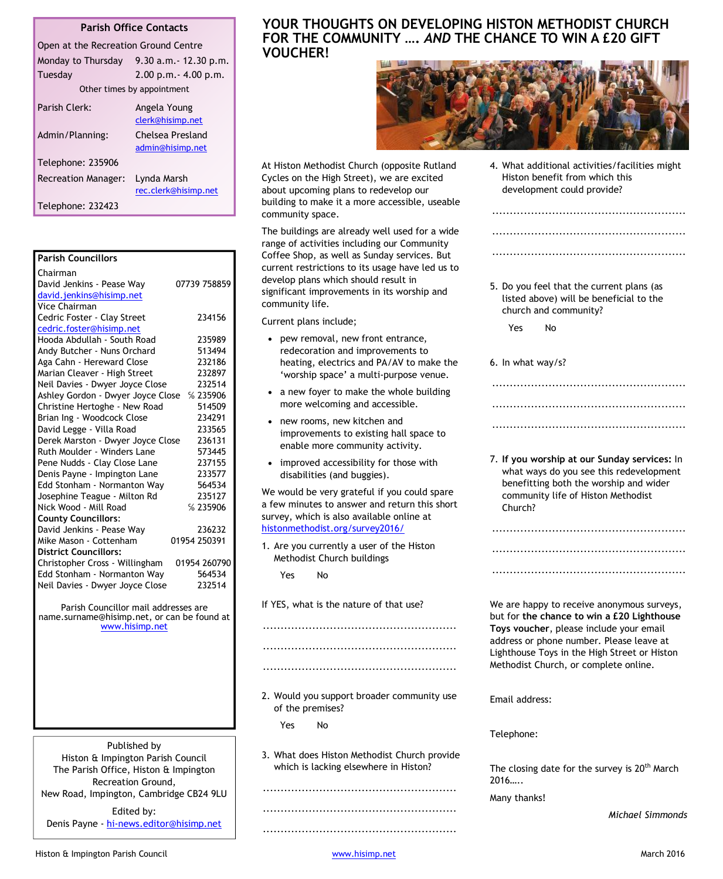#### **Parish Office Contacts**

| Open at the Recreation Ground Centre |                            |                                      |
|--------------------------------------|----------------------------|--------------------------------------|
|                                      | Monday to Thursday         | $9.30$ a.m. $-12.30$ p.m.            |
|                                      | Tuesday                    | $2.00$ p.m. $- 4.00$ p.m.            |
|                                      |                            | Other times by appointment           |
|                                      | Parish Clerk:              | Angela Young<br>clerk@hisimp.net     |
|                                      | Admin/Planning:            | Chelsea Presland<br>admin@hisimp.net |
|                                      | Telephone: 235906          |                                      |
|                                      | <b>Recreation Manager:</b> | Lynda Marsh<br>rec.clerk@hisimp.net  |
|                                      | Telephone: 232423          |                                      |

| <b>Parish Councillors</b>                   |              |  |
|---------------------------------------------|--------------|--|
| Chairman                                    |              |  |
| David Jenkins - Pease Way                   | 07739 758859 |  |
| david.jenkins@hisimp.net                    |              |  |
| <b>Vice Chairman</b>                        |              |  |
| Cedric Foster - Clay Street                 | 234156       |  |
| cedric.foster@hisimp.net                    |              |  |
| Hooda Abdullah - South Road                 | 235989       |  |
| Andy Butcher - Nuns Orchard                 | 513494       |  |
| Aga Cahn - Hereward Close                   | 232186       |  |
| Marian Cleaver - High Street                | 232897       |  |
| Neil Davies - Dwyer Joyce Close             | 232514       |  |
| Ashley Gordon - Dwyer Joyce Close           | %235906      |  |
| Christine Hertoghe - New Road               | 514509       |  |
| Brian Ing - Woodcock Close                  | 234291       |  |
| David Legge - Villa Road                    | 233565       |  |
| Derek Marston - Dwyer Joyce Close           | 236131       |  |
| Ruth Moulder - Winders Lane                 | 573445       |  |
| Pene Nudds - Clay Close Lane                | 237155       |  |
| Denis Payne - Impington Lane                | 233577       |  |
| Edd Stonham - Normanton Way                 | 564534       |  |
| Josephine Teague - Milton Rd                | 235127       |  |
| Nick Wood - Mill Road                       | %235906      |  |
| <b>County Councillors:</b>                  |              |  |
| David Jenkins - Pease Way                   | 236232       |  |
| Mike Mason - Cottenham                      | 01954 250391 |  |
| <b>District Councillors:</b>                |              |  |
| Christopher Cross - Willingham              | 01954 260790 |  |
| Edd Stonham - Normanton Way                 | 564534       |  |
| Neil Davies - Dwyer Joyce Close             | 232514       |  |
| Parish Councillor mail addresses are        |              |  |
| name.surname@hisimp.net, or can be found at |              |  |
| www.hisimp.net                              |              |  |

Published by Histon & Impington Parish Council The Parish Office, Histon & Impington Recreation Ground, New Road, Impington, Cambridge CB24 9LU

Edited by: Denis Payne - [hi-news.editor@hisimp.net](mailto:hi-news.editor@hisimp.net)

#### **YOUR THOUGHTS ON DEVELOPING HISTON METHODIST CHURCH FOR THE COMMUNITY ….** *AND* **THE CHANCE TO WIN A £20 GIFT VOUCHER!**



At Histon Methodist Church (opposite Rutland Cycles on the High Street), we are excited about upcoming plans to redevelop our building to make it a more accessible, useable community space.

The buildings are already well used for a wide range of activities including our Community Coffee Shop, as well as Sunday services. But current restrictions to its usage have led us to develop plans which should result in significant improvements in its worship and community life.

Current plans include;

- pew removal, new front entrance, redecoration and improvements to heating, electrics and PA/AV to make the 'worship space' a multi-purpose venue.
- ∂ a new foyer to make the whole building more welcoming and accessible.
- new rooms, new kitchen and improvements to existing hall space to enable more community activity.
- improved accessibility for those with disabilities (and buggies).

We would be very grateful if you could spare a few minutes to answer and return this short survey, which is also available online at [histonmethodist.org/survey2016/](http://histonmethodist.org/survey2016/)

1. Are you currently a user of the Histon Methodist Church buildings

Yes No

If YES, what is the nature of that use?

 ....................................................... .......................................................

.......................................................

2. Would you support broader community use of the premises?

Yes No

3. What does Histon Methodist Church provide which is lacking elsewhere in Histon?

 ....................................................... .......................................................

.......................................................

4. What additional activities/facilities might Histon benefit from which this development could provide?

.......................................................

.......................................................

.......................................................

5. Do you feel that the current plans (as listed above) will be beneficial to the church and community?

Yes No

6. In what way/s?

7. **If you worship at our Sunday services:** In what ways do you see this redevelopment benefitting both the worship and wider community life of Histon Methodist Church?

.......................................................

.......................................................

.......................................................

.......................................................

.......................................................

.......................................................

We are happy to receive anonymous surveys, but for **the chance to win a £20 Lighthouse Toys voucher**, please include your email address or phone number. Please leave at Lighthouse Toys in the High Street or Histon Methodist Church, or complete online.

Email address:

Telephone:

The closing date for the survey is  $20<sup>th</sup>$  March 2016…..

Many thanks!

*Michael Simmonds*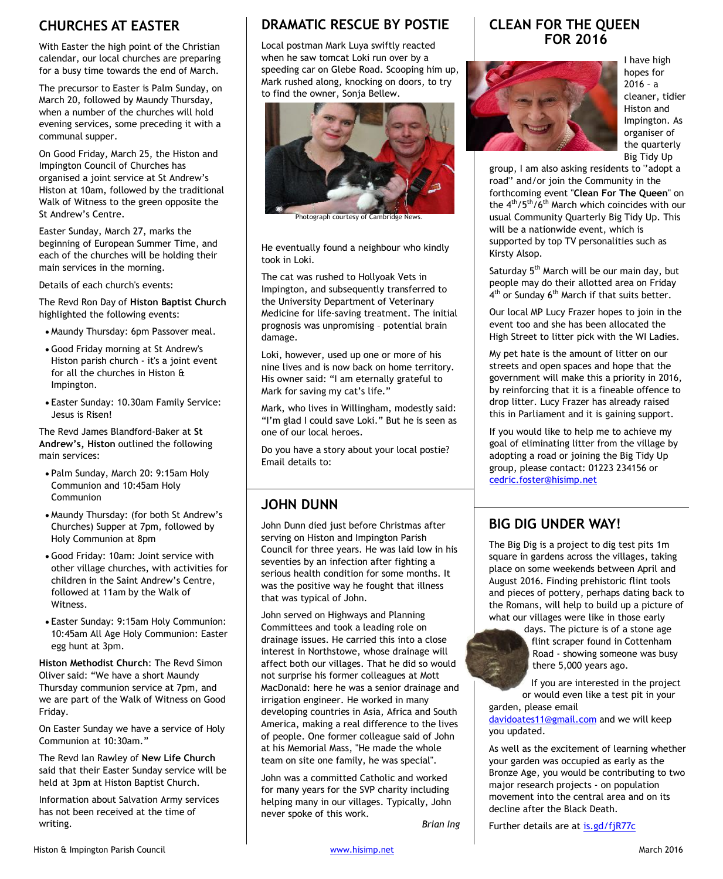# **CHURCHES AT EASTER**

With Easter the high point of the Christian calendar, our local churches are preparing for a busy time towards the end of March.

The precursor to Easter is Palm Sunday, on March 20, followed by Maundy Thursday, when a number of the churches will hold evening services, some preceding it with a communal supper.

On Good Friday, March 25, the Histon and Impington Council of Churches has organised a joint service at St Andrew's Histon at 10am, followed by the traditional Walk of Witness to the green opposite the St Andrew's Centre.

Easter Sunday, March 27, marks the beginning of European Summer Time, and each of the churches will be holding their main services in the morning.

Details of each church's events:

The Revd Ron Day of **Histon Baptist Church** highlighted the following events:

- ∂ Maundy Thursday: 6pm Passover meal.
- ∂ Good Friday morning at St Andrew's Histon parish church - it's a joint event for all the churches in Histon & Impington.
- ∂ Easter Sunday: 10.30am Family Service: Jesus is Risen!

The Revd James Blandford-Baker at **St Andrew's, Histon** outlined the following main services:

- ∂ Palm Sunday, March 20: 9:15am Holy Communion and 10:45am Holy Communion
- ∂ Maundy Thursday: (for both St Andrew's Churches) Supper at 7pm, followed by Holy Communion at 8pm
- ∂ Good Friday: 10am: Joint service with other village churches, with activities for children in the Saint Andrew's Centre, followed at 11am by the Walk of Witness.
- ∂ Easter Sunday: 9:15am Holy Communion: 10:45am All Age Holy Communion: Easter egg hunt at 3pm.

**Histon Methodist Church**: The Revd Simon Oliver said: "We have a short Maundy Thursday communion service at 7pm, and we are part of the Walk of Witness on Good Friday.

On Easter Sunday we have a service of Holy Communion at 10:30am."

The Revd Ian Rawley of **New Life Church** said that their Easter Sunday service will be held at 3pm at Histon Baptist Church.

Information about Salvation Army services has not been received at the time of writing.

# **DRAMATIC RESCUE BY POSTIE**

Local postman Mark Luya swiftly reacted when he saw tomcat Loki run over by a speeding car on Glebe Road. Scooping him up, Mark rushed along, knocking on doors, to try to find the owner, Sonja Bellew.



Photograph courtesy of Cambridge News.

He eventually found a neighbour who kindly took in Loki.

The cat was rushed to Hollyoak Vets in Impington, and subsequently transferred to the University Department of Veterinary Medicine for life-saving treatment. The initial prognosis was unpromising – potential brain damage.

Loki, however, used up one or more of his nine lives and is now back on home territory. His owner said: "I am eternally grateful to Mark for saving my cat's life."

Mark, who lives in Willingham, modestly said: "I'm glad I could save Loki." But he is seen as one of our local heroes.

Do you have a story about your local postie? Email details to:

# **JOHN DUNN**

John Dunn died just before Christmas after serving on Histon and Impington Parish Council for three years. He was laid low in his seventies by an infection after fighting a serious health condition for some months. It was the positive way he fought that illness that was typical of John.

John served on Highways and Planning Committees and took a leading role on drainage issues. He carried this into a close interest in Northstowe, whose drainage will affect both our villages. That he did so would not surprise his former colleagues at Mott MacDonald: here he was a senior drainage and irrigation engineer. He worked in many developing countries in Asia, Africa and South America, making a real difference to the lives of people. One former colleague said of John at his Memorial Mass, "He made the whole team on site one family, he was special".

John was a committed Catholic and worked for many years for the SVP charity including helping many in our villages. Typically, John never spoke of this work.

*Brian Ing*

# **CLEAN FOR THE QUEEN FOR 2016**



I have high hopes for 2016 – a cleaner, tidier Histon and Impington. As organiser of the quarterly Big Tidy Up

group, I am also asking residents to ''adopt a road'' and/or join the Community in the forthcoming event ''**Clean For The Queen**'' on the 4<sup>th</sup>/5<sup>th</sup>/6<sup>th</sup> March which coincides with our usual Community Quarterly Big Tidy Up. This will be a nationwide event, which is supported by top TV personalities such as Kirsty Alsop.

Saturday 5<sup>th</sup> March will be our main day, but people may do their allotted area on Friday 4<sup>th</sup> or Sunday 6<sup>th</sup> March if that suits better.

Our local MP Lucy Frazer hopes to join in the event too and she has been allocated the High Street to litter pick with the WI Ladies.

My pet hate is the amount of litter on our streets and open spaces and hope that the government will make this a priority in 2016, by reinforcing that it is a fineable offence to drop litter. Lucy Frazer has already raised this in Parliament and it is gaining support.

If you would like to help me to achieve my goal of eliminating litter from the village by adopting a road or joining the Big Tidy Up group, please contact: 01223 234156 or [cedric.foster@hisimp.net](mailto:cedric.foster@hisimp.net?subject=Big%20Tidy%20Up)

# **BIG DIG UNDER WAY!**

The Big Dig is a project to dig test pits 1m square in gardens across the villages, taking place on some weekends between April and August 2016. Finding prehistoric flint tools and pieces of pottery, perhaps dating back to the Romans, will help to build up a picture of what our villages were like in those early

> days. The picture is of a stone age flint scraper found in Cottenham Road - showing someone was busy there 5,000 years ago.

If you are interested in the project or would even like a test pit in your

garden, please email [davidoates11@gmail.com](mailto:davidoates11@gmail.com) and we will keep you updated.

As well as the excitement of learning whether your garden was occupied as early as the Bronze Age, you would be contributing to two major research projects - on population movement into the central area and on its decline after the Black Death.

Further details are at [is.gd/fjR77c](http://is.gd/fjR77c)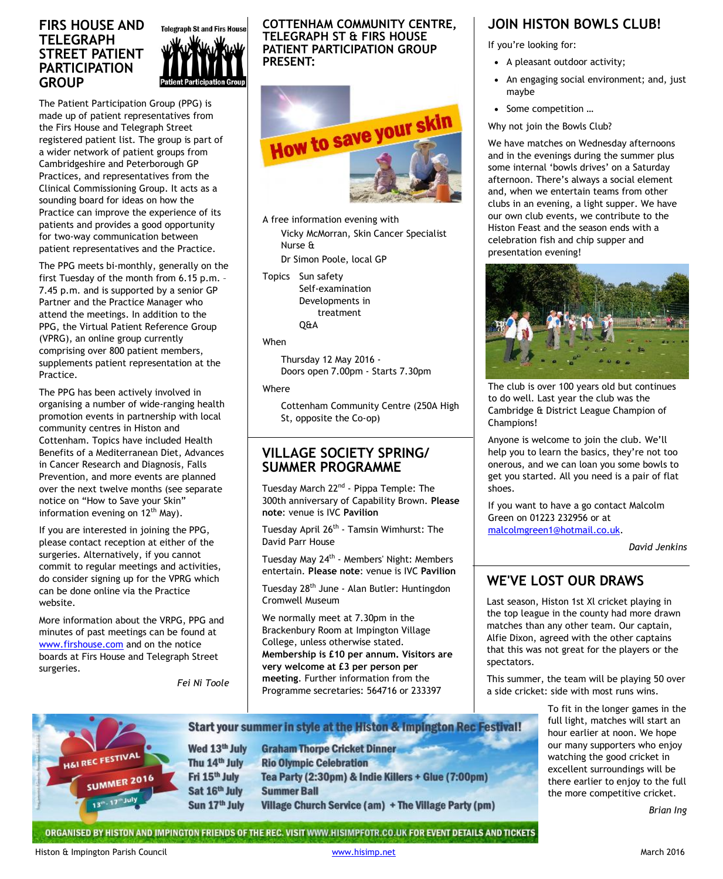#### **FIRS HOUSE AND TELEGRAPH STREET PATIENT PARTICIPATION GROUP**



The Patient Participation Group (PPG) is made up of patient representatives from the Firs House and Telegraph Street registered patient list. The group is part of a wider network of patient groups from Cambridgeshire and Peterborough GP Practices, and representatives from the Clinical Commissioning Group. It acts as a sounding board for ideas on how the Practice can improve the experience of its patients and provides a good opportunity for two-way communication between patient representatives and the Practice.

The PPG meets bi-monthly, generally on the first Tuesday of the month from 6.15 p.m. – 7.45 p.m. and is supported by a senior GP Partner and the Practice Manager who attend the meetings. In addition to the PPG, the Virtual Patient Reference Group (VPRG), an online group currently comprising over 800 patient members, supplements patient representation at the Practice.

The PPG has been actively involved in organising a number of wide-ranging health promotion events in partnership with local community centres in Histon and Cottenham. Topics have included Health Benefits of a Mediterranean Diet, Advances in Cancer Research and Diagnosis, Falls Prevention, and more events are planned over the next twelve months (see separate notice on "How to Save your Skin" information evening on  $12<sup>th</sup>$  May).

If you are interested in joining the PPG, please contact reception at either of the surgeries. Alternatively, if you cannot commit to regular meetings and activities, do consider signing up for the VPRG which can be done online via the Practice website.

More information about the VRPG, PPG and minutes of past meetings can be found at [www.firshouse.com](http://www.firshouse.com/) and on the notice boards at Firs House and Telegraph Street surgeries.

*Fei Ni Toole*

**COTTENHAM COMMUNITY CENTRE, TELEGRAPH ST & FIRS HOUSE PATIENT PARTICIPATION GROUP PRESENT:**



A free information evening with Vicky McMorran, Skin Cancer Specialist Nurse &

Dr Simon Poole, local GP

Topics Sun safety Self-examination Developments in treatment Q&A

#### When

Thursday 12 May 2016 - Doors open 7.00pm - Starts 7.30pm

#### Where

Cottenham Community Centre (250A High St, opposite the Co-op)

#### **VILLAGE SOCIETY SPRING/ SUMMER PROGRAMME**

Tuesday March 22nd - Pippa Temple: The 300th anniversary of Capability Brown. **Please note**: venue is IVC **Pavilion**

Tuesday April 26<sup>th</sup> - Tamsin Wimhurst: The David Parr House

Tuesday May 24<sup>th</sup> - Members' Night: Members entertain. **Please note**: venue is IVC **Pavilion**

Tuesday 28<sup>th</sup> June - Alan Butler: Huntingdon Cromwell Museum

We normally meet at 7.30pm in the Brackenbury Room at Impington Village College, unless otherwise stated. **Membership is £10 per annum. Visitors are very welcome at £3 per person per meeting**. Further information from the Programme secretaries: 564716 or 233397

#### Start your summer in style at the Histon & Impington Rec Festival! Wed 13th July FESTIVAL Thu 14th July UMMER 2016 Fri 15<sup>th</sup> July Sat 16th July Sun 17th July

**Graham Thorpe Cricket Dinner Rio Olympic Celebration** Tea Party (2:30pm) & Indie Killers + Glue (7:00pm) **Summer Ball** Village Church Service (am) + The Village Party (pm)

# **JOIN HISTON BOWLS CLUB!**

If you're looking for:

- ∂ A pleasant outdoor activity;
- ∂ An engaging social environment; and, just maybe
- ∂ Some competition …
- Why not join the Bowls Club?

We have matches on Wednesday afternoons and in the evenings during the summer plus some internal 'bowls drives' on a Saturday afternoon. There's always a social element and, when we entertain teams from other clubs in an evening, a light supper. We have our own club events, we contribute to the Histon Feast and the season ends with a celebration fish and chip supper and presentation evening!



The club is over 100 years old but continues to do well. Last year the club was the Cambridge & District League Champion of Champions!

Anyone is welcome to join the club. We'll help you to learn the basics, they're not too onerous, and we can loan you some bowls to get you started. All you need is a pair of flat shoes.

If you want to have a go contact Malcolm Green on 01223 232956 or at [malcolmgreen1@hotmail.co.uk](mailto:malcolmgreen1@hotmail.co.uk).

*David Jenkins*

# **WE'VE LOST OUR DRAWS**

Last season, Histon 1st Xl cricket playing in the top league in the county had more drawn matches than any other team. Our captain, Alfie Dixon, agreed with the other captains that this was not great for the players or the spectators.

This summer, the team will be playing 50 over a side cricket: side with most runs wins.

> To fit in the longer games in the full light, matches will start an hour earlier at noon. We hope our many supporters who enjoy watching the good cricket in excellent surroundings will be there earlier to enjoy to the full the more competitive cricket.

> > *Brian Ing*

#### ORGANISED BY HISTON AND IMPINGTON FRIENDS OF THE REC. VISIT WWW.HISIMPFOTR.CO.UK FOR EVENT DETAILS AND TICKETS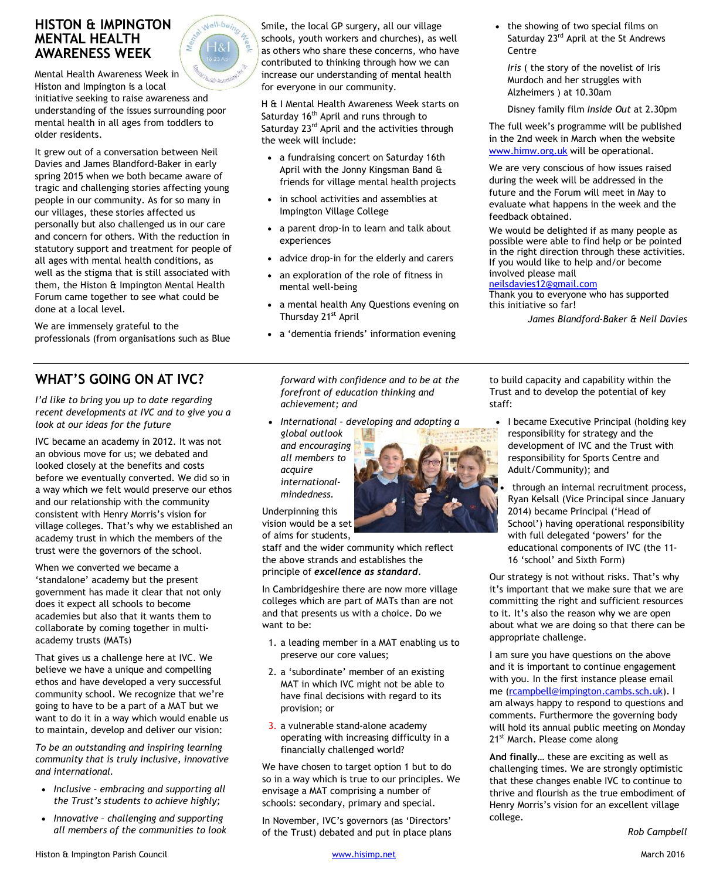# **HISTON & IMPINGTON MENTAL HEALTH AWARENESS WEEK**

Mental Health Awareness Week in Histon and Impington is a local initiative seeking to raise awareness and understanding of the issues surrounding poor mental health in all ages from toddlers to older residents.

Nell-be<sub>in</sub>

It grew out of a conversation between Neil Davies and James Blandford-Baker in early spring 2015 when we both became aware of tragic and challenging stories affecting young people in our community. As for so many in our villages, these stories affected us personally but also challenged us in our care and concern for others. With the reduction in statutory support and treatment for people of all ages with mental health conditions, as well as the stigma that is still associated with them, the Histon & Impington Mental Health Forum came together to see what could be done at a local level.

We are immensely grateful to the professionals (from organisations such as Blue

# **WHAT'S GOING ON AT IVC?**

*I'd like to bring you up to date regarding recent developments at IVC and to give you a look at our ideas for the future*

IVC bec**a**me an academy in 2012. It was not an obvious move for us; we debated and looked closely at the benefits and costs before we eventually converted. We did so in a way which we felt would preserve our ethos and our relationship with the community consistent with Henry Morris's vision for village colleges. That's why we established an academy trust in which the members of the trust were the governors of the school.

When we converted we became a 'standalone' academy but the present government has made it clear that not only does it expect all schools to become academies but also that it wants them to collaborate by coming together in multiacademy trusts (MATs)

That gives us a challenge here at IVC. We believe we have a unique and compelling ethos and have developed a very successful community school. We recognize that we're going to have to be a part of a MAT but we want to do it in a way which would enable us to maintain, develop and deliver our vision:

*To be an outstanding and inspiring learning community that is truly inclusive, innovative and international.*

- ∂ *Inclusive embracing and supporting all the Trust's students to achieve highly;*
- ∂ *Innovative challenging and supporting all members of the communities to look*



H & I Mental Health Awareness Week starts on Saturday 16<sup>th</sup> April and runs through to Saturday 23<sup>rd</sup> April and the activities through the week will include:

- ∂ a fundraising concert on Saturday 16th April with the Jonny Kingsman Band & friends for village mental health projects
- ∂ in school activities and assemblies at Impington Village College
- a parent drop-in to learn and talk about experiences
- advice drop-in for the elderly and carers
- ∂ an exploration of the role of fitness in mental well-being
- ∂ a mental health Any Questions evening on Thursday 21<sup>st</sup> April
- ∂ a 'dementia friends' information evening

*forward with confidence and to be at the forefront of education thinking and achievement; and*

- ∂ *International developing and adopting a*
- *global outlook and encouraging all members to acquire internationalmindedness.*

Underpinning this vision would be a set of aims for students,

staff and the wider community which reflect the above strands and establishes the principle of *excellence as standard*.

In Cambridgeshire there are now more village colleges which are part of MATs than are not and that presents us with a choice. Do we want to be:

- 1. a leading member in a MAT enabling us to preserve our core values;
- 2. a 'subordinate' member of an existing MAT in which IVC might not be able to have final decisions with regard to its provision; or
- 3. a vulnerable stand-alone academy operating with increasing difficulty in a financially challenged world?

We have chosen to target option 1 but to do so in a way which is true to our principles. We envisage a MAT comprising a number of schools: secondary, primary and special.

In November, IVC's governors (as 'Directors' of the Trust) debated and put in place plans • the showing of two special films on Saturday 23<sup>rd</sup> April at the St Andrews Centre

*Iris* ( the story of the novelist of Iris Murdoch and her struggles with Alzheimers ) at 10.30am

Disney family film *Inside Out* at 2.30pm

The full week's programme will be published in the 2nd week in March when the website www.himw.org.uk will be operational.

We are very conscious of how issues raised during the week will be addressed in the future and the Forum will meet in May to evaluate what happens in the week and the feedback obtained.

We would be delighted if as many people as possible were able to find help or be pointed in the right direction through these activities. If you would like to help and/or become involved please mail

#### neilsdavies12@gmail.com

Thank you to everyone who has supported this initiative so far!

*James Blandford-Baker & Neil Davies*

to build capacity and capability within the Trust and to develop the potential of key staff:

- ∂ I became Executive Principal (holding key responsibility for strategy and the development of IVC and the Trust with responsibility for Sports Centre and Adult/Community); and
- through an internal recruitment process, Ryan Kelsall (Vice Principal since January 2014) became Principal ('Head of School') having operational responsibility with full delegated 'powers' for the educational components of IVC (the 11- 16 'school' and Sixth Form)

Our strategy is not without risks. That's why it's important that we make sure that we are committing the right and sufficient resources to it. It's also the reason why we are open about what we are doing so that there can be appropriate challenge.

I am sure you have questions on the above and it is important to continue engagement with you. In the first instance please email me (rcampbell@impington.cambs.sch.uk). I am always happy to respond to questions and comments. Furthermore the governing body will hold its annual public meeting on Monday 21<sup>st</sup> March. Please come along

**And finally…** these are exciting as well as challenging times. We are strongly optimistic that these changes enable IVC to continue to thrive and flourish as the true embodiment of Henry Morris's vision for an excellent village college.



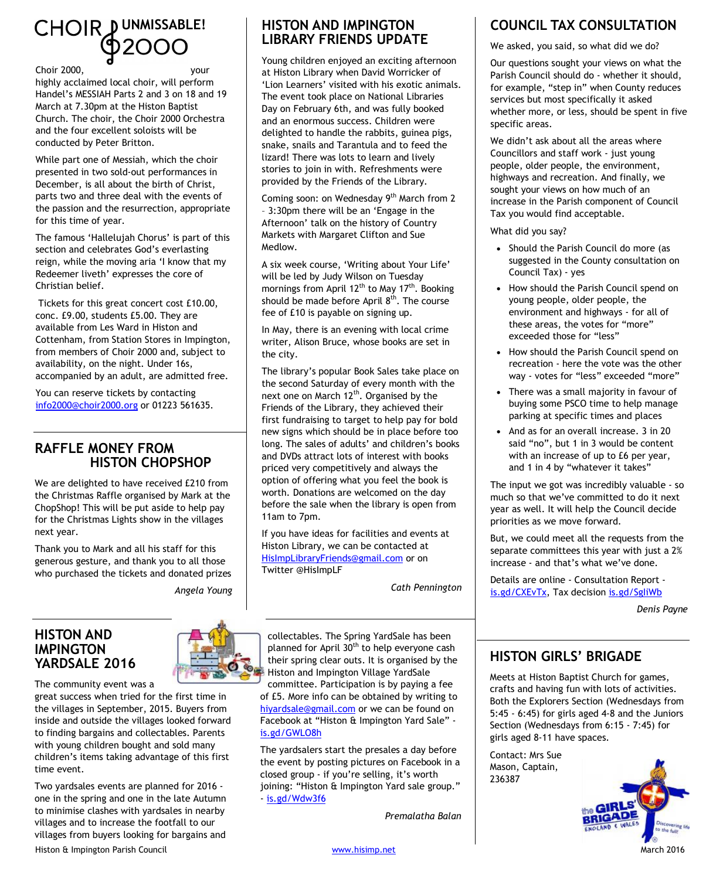# CHOIR DUNMISSABLE!

#### Choir 2000, your

highly acclaimed local choir, will perform Handel's MESSIAH Parts 2 and 3 on 18 and 19 March at 7.30pm at the Histon Baptist Church. The choir, the Choir 2000 Orchestra and the four excellent soloists will be conducted by Peter Britton.

While part one of Messiah, which the choir presented in two sold-out performances in December, is all about the birth of Christ, parts two and three deal with the events of the passion and the resurrection, appropriate for this time of year.

The famous 'Hallelujah Chorus' is part of this section and celebrates God's everlasting reign, while the moving aria 'I know that my Redeemer liveth' expresses the core of Christian belief.

 Tickets for this great concert cost £10.00, conc. £9.00, students £5.00. They are available from Les Ward in Histon and Cottenham, from Station Stores in Impington, from members of Choir 2000 and, subject to availability, on the night. Under 16s, accompanied by an adult, are admitted free.

You can reserve tickets by contacting [info2000@choir2000.org](mailto:info2000@choir2000.org) or 01223 561635.

# **RAFFLE MONEY FROM HISTON CHOPSHOP**

We are delighted to have received £210 from the Christmas Raffle organised by Mark at the ChopShop! This will be put aside to help pay for the Christmas Lights show in the villages next year.

Thank you to Mark and all his staff for this generous gesture, and thank you to all those who purchased the tickets and donated prizes

*Angela Young*

#### **HISTON AND IMPINGTON YARDSALE 2016**

The community event was a

great success when tried for the first time in the villages in September, 2015. Buyers from inside and outside the villages looked forward to finding bargains and collectables. Parents with young children bought and sold many children's items taking advantage of this first time event.

Histon & Impington Parish Council **Example 2016** [www.hisimp.net](http://www.hisimp.net/) March 2016 Two yardsales events are planned for 2016 one in the spring and one in the late Autumn to minimise clashes with yardsales in nearby villages and to increase the footfall to our villages from buyers looking for bargains and



Young children enjoyed an exciting afternoon at Histon Library when David Worricker of 'Lion Learners' visited with his exotic animals. The event took place on National Libraries Day on February 6th, and was fully booked and an enormous success. Children were delighted to handle the rabbits, guinea pigs, snake, snails and Tarantula and to feed the lizard! There was lots to learn and lively stories to join in with. Refreshments were provided by the Friends of the Library.

Coming soon: on Wednesday 9<sup>th</sup> March from 2 – 3:30pm there will be an 'Engage in the Afternoon' talk on the history of Country Markets with Margaret Clifton and Sue Medlow.

A six week course, 'Writing about Your Life' will be led by Judy Wilson on Tuesday mornings from April  $12^{th}$  to May  $17^{th}$ . Booking should be made before April  $8<sup>th</sup>$ . The course fee of £10 is payable on signing up.

In May, there is an evening with local crime writer, Alison Bruce, whose books are set in the city.

The library's popular Book Sales take place on the second Saturday of every month with the next one on March  $12<sup>th</sup>$ . Organised by the Friends of the Library, they achieved their first fundraising to target to help pay for bold new signs which should be in place before too long. The sales of adults' and children's books and DVDs attract lots of interest with books priced very competitively and always the option of offering what you feel the book is worth. Donations are welcomed on the day before the sale when the library is open from 11am to 7pm.

If you have ideas for facilities and events at Histon Library, we can be contacted at [HisImpLibraryFriends@gmail.com](mailto:HisImpLibraryFriends@gmail.com) or on Twitter @HisImpLF

*Cath Pennington*

collectables. The Spring YardSale has been planned for April 30<sup>th</sup> to help everyone cash their spring clear outs. It is organised by the Histon and Impington Village YardSale

committee. Participation is by paying a fee of £5. More info can be obtained by writing to [hiyardsale@gmail.com](mailto:hiyardsale@gmail.com) or we can be found on Facebook at "Histon & Impington Yard Sale" [is.gd/GWLO8h](http://is.gd/GWLO8h)

The yardsalers start the presales a day before the event by posting pictures on Facebook in a closed group - if you're selling, it's worth joining: "Histon & Impington Yard sale group." - [is.gd/Wdw3f6](http://is.gd/Wdw3f6)

*Premalatha Balan*

# **COUNCIL TAX CONSULTATION**

We asked, you said, so what did we do?

Our questions sought your views on what the Parish Council should do - whether it should, for example, "step in" when County reduces services but most specifically it asked whether more, or less, should be spent in five specific areas.

We didn't ask about all the areas where Councillors and staff work - just young people, older people, the environment, highways and recreation. And finally, we sought your views on how much of an increase in the Parish component of Council Tax you would find acceptable.

What did you say?

- ∂ Should the Parish Council do more (as suggested in the County consultation on Council Tax) - yes
- How should the Parish Council spend on young people, older people, the environment and highways - for all of these areas, the votes for "more" exceeded those for "less"
- How should the Parish Council spend on recreation - here the vote was the other way - votes for "less" exceeded "more"
- ∂ There was a small majority in favour of buying some PSCO time to help manage parking at specific times and places
- ∂ And as for an overall increase. 3 in 20 said "no", but 1 in 3 would be content with an increase of up to £6 per year, and 1 in 4 by "whatever it takes"

The input we got was incredibly valuable - so much so that we've committed to do it next year as well. It will help the Council decide priorities as we move forward.

But, we could meet all the requests from the separate committees this year with just a 2% increase - and that's what we've done.

Details are online - Consultation Report [is.gd/CXEvTx](http://is.gd/CXEvTx), Tax decision [is.gd/SgIiWb](http://is.gd/SgIiWb)

*Denis Payne*

# **HISTON GIRLS' BRIGADE**

Meets at Histon Baptist Church for games, crafts and having fun with lots of activities. Both the Explorers Section (Wednesdays from 5:45 - 6:45) for girls aged 4-8 and the Juniors Section (Wednesdays from 6:15 - 7:45) for girls aged 8-11 have spaces.

Contact: Mrs Sue Mason, Captain, 236387

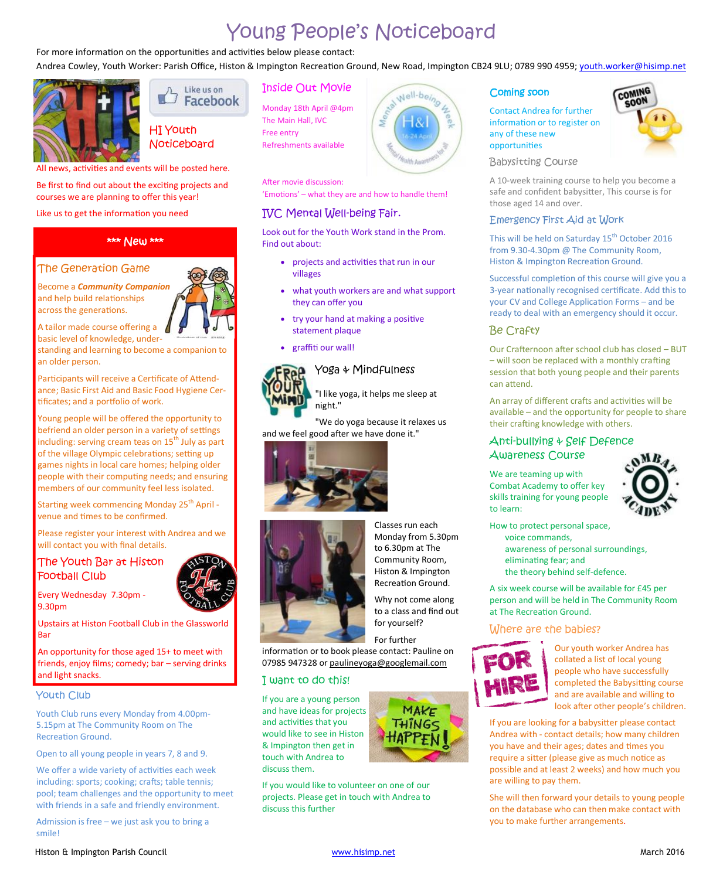# Young People's Noticeboard

For more information on the opportunities and activities below please contact:

Andrea Cowley, Youth Worker: Parish Office, Histon & Impington Recreation Ground, New Road, Impington CB24 9LU; 0789 990 4959; [youth.worker@hisimp.net](mailto:youth.worker@hisimp.net)

'Emotions' – what they are and how to handle them!

Look out for the Youth Work stand in the Prom.

• projects and activities that run in our

try your hand at making a positive

Yoga & Mindfulness

"I like yoga, it helps me sleep at

"We do yoga because it relaxes us

what youth workers are and what support

IVC Mental Well-being Fair.

they can offer you

statement plaque graffiti our wall!

night."

and we feel good after we have done it."



Like us on  $\Box$ Facebook

# HI Youth **Noticeboard**

All news, activities and events will be posted here.

Be first to find out about the exciting projects and courses we are planning to offer this year!

Like us to get the information you need

#### \*\*\* New \*\*\*

#### The Generation Game

Become a *Community Companion* and help build relationships across the generations.

A tailor made course offering a basic level of knowledge, under-

standing and learning to become a companion to an older person.

Participants will receive a Certificate of Attendance; Basic First Aid and Basic Food Hygiene Certificates; and a portfolio of work.

Young people will be offered the opportunity to befriend an older person in a variety of settings including: serving cream teas on  $15<sup>th</sup>$  July as part of the village Olympic celebrations; setting up games nights in local care homes; helping older people with their computing needs; and ensuring members of our community feel less isolated.

Starting week commencing Monday 25<sup>th</sup> April venue and times to be confirmed.

Please register your interest with Andrea and we will contact you with final details.

#### The Youth Bar at Histon Football Club

Every Wednesday 7.30pm - 9.30pm

Upstairs at Histon Football Club in the Glassworld Bar

An opportunity for those aged 15+ to meet with friends, enjoy films; comedy; bar – serving drinks and light snacks.

#### Youth Club

Youth Club runs every Monday from 4.00pm-5.15pm at The Community Room on The Recreation Ground.

Open to all young people in years 7, 8 and 9.

We offer a wide variety of activities each week including: sports; cooking; crafts; table tennis; pool; team challenges and the opportunity to meet with friends in a safe and friendly environment.

Admission is free – we just ask you to bring a smile!

# Inside Out Movie Monday 18th April @4pm

The Main Hall, IVC Free entry Refreshments available

After movie discussion:

Find out about:

villages

stat Well-being

#### Coming soon

Contact Andrea for further information or to register on any of these new opportuniƟes



Babysitting Course

A 10-week training course to help you become a safe and confident babysitter, This course is for those aged 14 and over.

#### Emergency First Aid at Work

This will be held on Saturday 15<sup>th</sup> October 2016 from 9.30-4.30pm @ The Community Room, Histon & Impington Recreation Ground.

Successful completion of this course will give you a 3-year nationally recognised certificate. Add this to your CV and College Application Forms – and be ready to deal with an emergency should it occur.

#### Be Crafty

Our Crafternoon after school club has closed - BUT  $-$  will soon be replaced with a monthly crafting session that both young people and their parents can attend.

An array of different crafts and activities will be available – and the opportunity for people to share their crafting knowledge with others.

#### Anti-bullying & Self Defence Awareness Course

We are teaming up with Combat Academy to offer key skills training for young people to learn:



How to protect personal space,

- voice commands, awareness of personal surroundings,
- eliminating fear; and
- the theory behind self-defence.

A six week course will be available for £45 per person and will be held in The Community Room at The Recreation Ground.

#### Where are the babies?



Our youth worker Andrea has collated a list of local young people who have successfully completed the Babysitting course and are available and willing to look after other people's children.

If you are looking for a babysitter please contact Andrea with - contact details; how many children you have and their ages; dates and times you require a sitter (please give as much notice as possible and at least 2 weeks) and how much you are willing to pay them.

She will then forward your details to young people on the database who can then make contact with you to make further arrangements.



Classes run each Monday from 5.30pm to 6.30pm at The Community Room, Histon & Impington

to a class and find out

For further

information or to book please contact: Pauline on 07985 947328 or [paulineyoga@googlemail.com](mailto:paulineyoga@googlemail.com)

#### I want to do this!

If you are a young person and have ideas for projects and activities that you would like to see in Histon & Impington then get in touch with Andrea to discuss them.

If you would like to volunteer on one of our projects. Please get in touch with Andrea to discuss this further



Recreation Ground.

Why not come along for yourself?